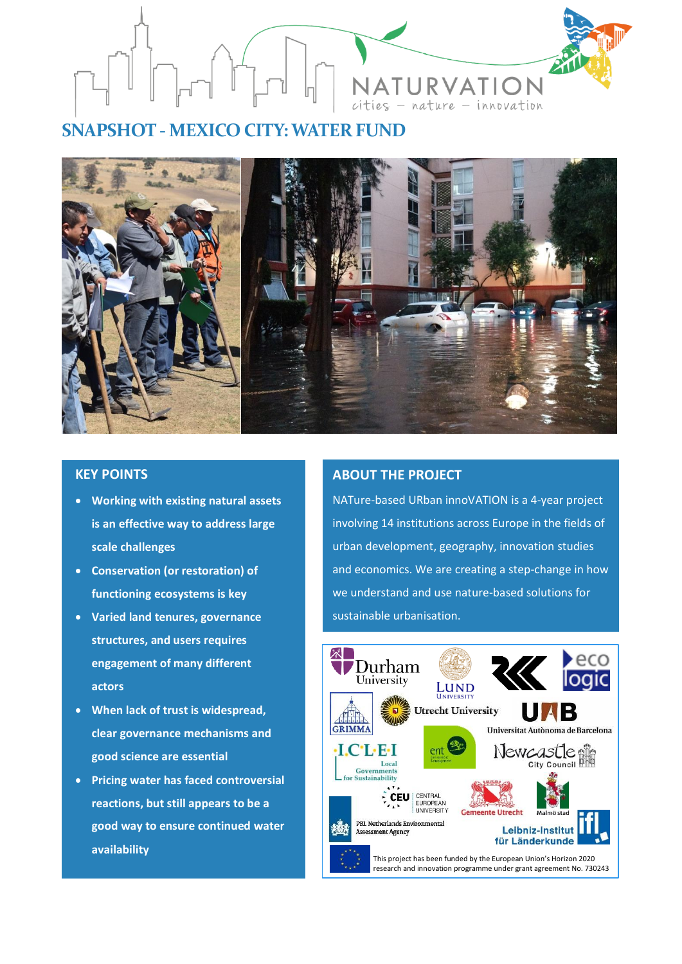

# **SNAPSHOT - MEXICO CITY:WATER FUND**



# **KEY POINTS**

- **Working with existing natural assets is an effective way to address large scale challenges**
- **Conservation (or restoration) of functioning ecosystems is key**
- **Varied land tenures, governance structures, and users requires engagement of many different actors**
- **When lack of trust is widespread, clear governance mechanisms and good science are essential**
- **Pricing water has faced controversial reactions, but still appears to be a good way to ensure continued water availability**

## **ABOUT THE PROJECT**

NATure-based URban innoVATION is a 4-year project involving 14 institutions across Europe in the fields of urban development, geography, innovation studies and economics. We are creating a step-change in how we understand and use nature-based solutions for sustainable urbanisation.

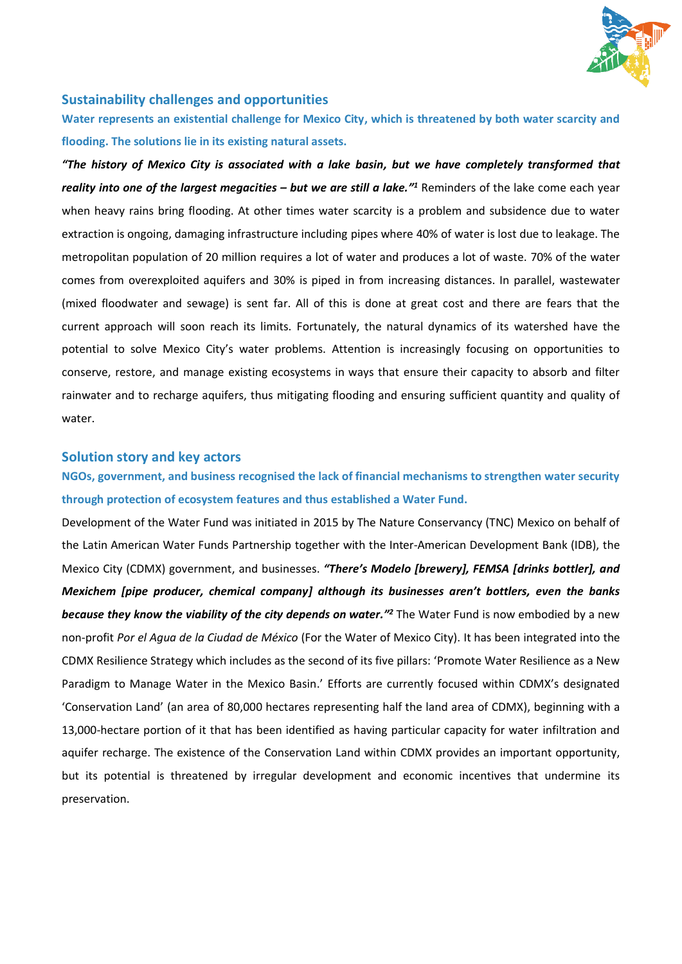

### **Sustainability challenges and opportunities**

**Water represents an existential challenge for Mexico City, which is threatened by both water scarcity and flooding. The solutions lie in its existing natural assets.**

*"The history of Mexico City is associated with a lake basin, but we have completely transformed that*  reality into one of the largest megacities - but we are still a lake.<sup>*"*1</sup> Reminders of the lake come each year when heavy rains bring flooding. At other times water scarcity is a problem and subsidence due to water extraction is ongoing, damaging infrastructure including pipes where 40% of water is lost due to leakage. The metropolitan population of 20 million requires a lot of water and produces a lot of waste. 70% of the water comes from overexploited aquifers and 30% is piped in from increasing distances. In parallel, wastewater (mixed floodwater and sewage) is sent far. All of this is done at great cost and there are fears that the current approach will soon reach its limits. Fortunately, the natural dynamics of its watershed have the potential to solve Mexico City's water problems. Attention is increasingly focusing on opportunities to conserve, restore, and manage existing ecosystems in ways that ensure their capacity to absorb and filter rainwater and to recharge aquifers, thus mitigating flooding and ensuring sufficient quantity and quality of water.

#### **Solution story and key actors**

**NGOs, government, and business recognised the lack of financial mechanisms to strengthen water security through protection of ecosystem features and thus established a Water Fund.** 

Development of the Water Fund was initiated in 2015 by The Nature Conservancy (TNC) Mexico on behalf of the Latin American Water Funds Partnership together with the Inter-American Development Bank (IDB), the Mexico City (CDMX) government, and businesses. *"There's Modelo [brewery], FEMSA [drinks bottler], and Mexichem [pipe producer, chemical company] although its businesses aren't bottlers, even the banks*  because they know the viability of the city depends on water.<sup>"2</sup> The Water Fund is now embodied by a new non-profit *Por el Agua de la Ciudad de México* (For the Water of Mexico City). It has been integrated into the CDMX Resilience Strategy which includes as the second of its five pillars: 'Promote Water Resilience as a New Paradigm to Manage Water in the Mexico Basin.' Efforts are currently focused within CDMX's designated 'Conservation Land' (an area of 80,000 hectares representing half the land area of CDMX), beginning with a 13,000-hectare portion of it that has been identified as having particular capacity for water infiltration and aquifer recharge. The existence of the Conservation Land within CDMX provides an important opportunity, but its potential is threatened by irregular development and economic incentives that undermine its preservation.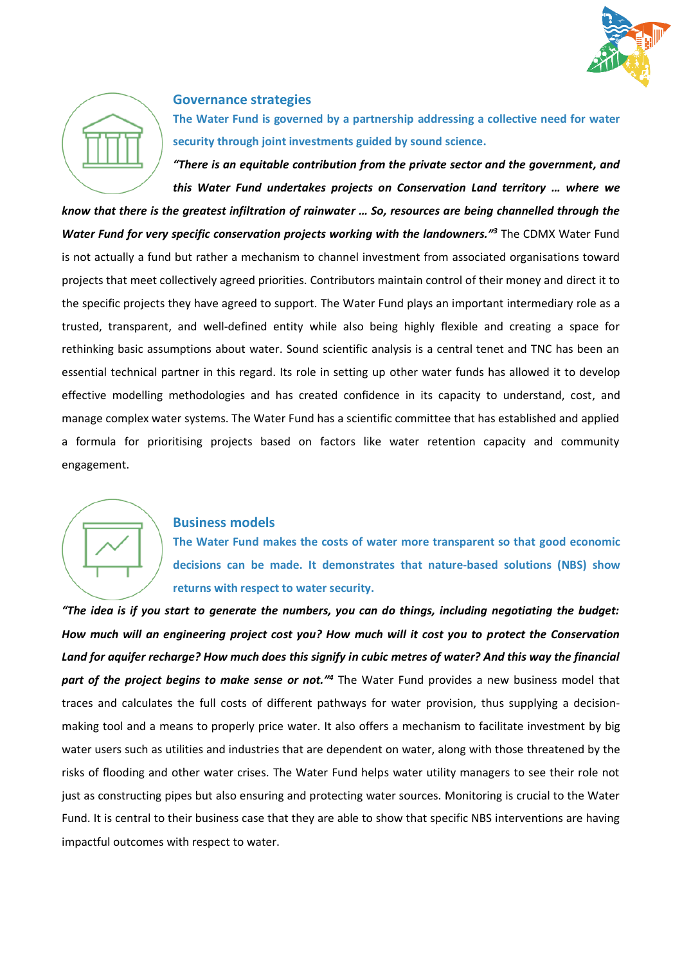



#### **Governance strategies**

**The Water Fund is governed by a partnership addressing a collective need for water security through joint investments guided by sound science.** 

*"There is an equitable contribution from the private sector and the government, and this Water Fund undertakes projects on Conservation Land territory … where we* 

*know that there is the greatest infiltration of rainwater … So, resources are being channelled through the*  Water Fund for very specific conservation projects working with the landowners.<sup>"3</sup> The CDMX Water Fund is not actually a fund but rather a mechanism to channel investment from associated organisations toward projects that meet collectively agreed priorities. Contributors maintain control of their money and direct it to the specific projects they have agreed to support. The Water Fund plays an important intermediary role as a trusted, transparent, and well-defined entity while also being highly flexible and creating a space for rethinking basic assumptions about water. Sound scientific analysis is a central tenet and TNC has been an essential technical partner in this regard. Its role in setting up other water funds has allowed it to develop effective modelling methodologies and has created confidence in its capacity to understand, cost, and manage complex water systems. The Water Fund has a scientific committee that has established and applied a formula for prioritising projects based on factors like water retention capacity and community engagement.



#### **Business models**

**The Water Fund makes the costs of water more transparent so that good economic decisions can be made. It demonstrates that nature-based solutions (NBS) show returns with respect to water security.** 

*"The idea is if you start to generate the numbers, you can do things, including negotiating the budget: How much will an engineering project cost you? How much will it cost you to protect the Conservation Land for aquifer recharge? How much does this signify in cubic metres of water? And this way the financial*  part of the project begins to make sense or not.<sup>*"*4</sup> The Water Fund provides a new business model that traces and calculates the full costs of different pathways for water provision, thus supplying a decisionmaking tool and a means to properly price water. It also offers a mechanism to facilitate investment by big water users such as utilities and industries that are dependent on water, along with those threatened by the risks of flooding and other water crises. The Water Fund helps water utility managers to see their role not just as constructing pipes but also ensuring and protecting water sources. Monitoring is crucial to the Water Fund. It is central to their business case that they are able to show that specific NBS interventions are having impactful outcomes with respect to water.